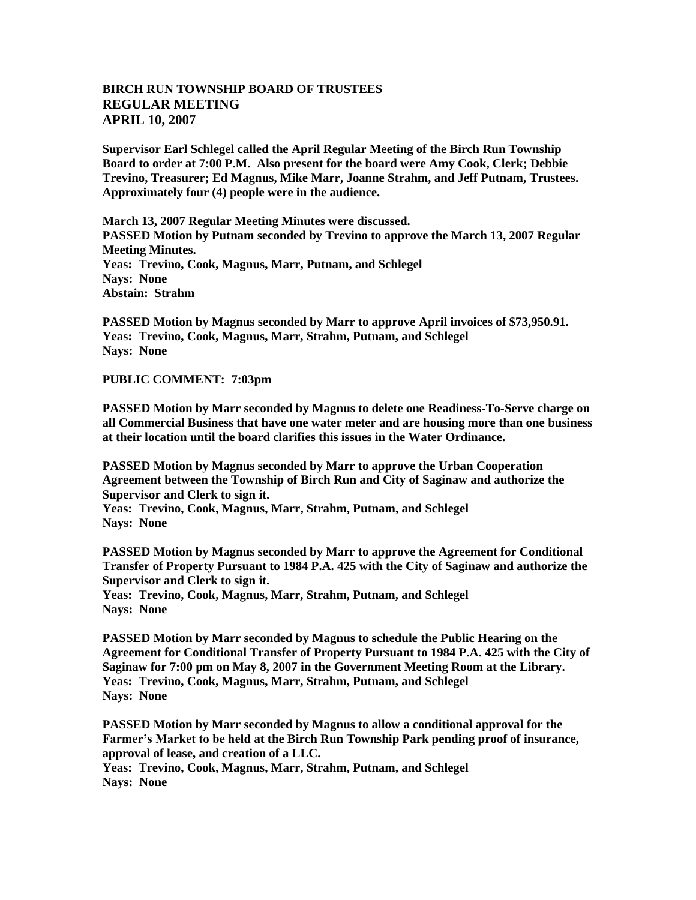## **BIRCH RUN TOWNSHIP BOARD OF TRUSTEES REGULAR MEETING APRIL 10, 2007**

**Supervisor Earl Schlegel called the April Regular Meeting of the Birch Run Township Board to order at 7:00 P.M. Also present for the board were Amy Cook, Clerk; Debbie Trevino, Treasurer; Ed Magnus, Mike Marr, Joanne Strahm, and Jeff Putnam, Trustees. Approximately four (4) people were in the audience.** 

**March 13, 2007 Regular Meeting Minutes were discussed. PASSED Motion by Putnam seconded by Trevino to approve the March 13, 2007 Regular Meeting Minutes. Yeas: Trevino, Cook, Magnus, Marr, Putnam, and Schlegel Nays: None Abstain: Strahm**

**PASSED Motion by Magnus seconded by Marr to approve April invoices of \$73,950.91. Yeas: Trevino, Cook, Magnus, Marr, Strahm, Putnam, and Schlegel Nays: None**

## **PUBLIC COMMENT: 7:03pm**

**PASSED Motion by Marr seconded by Magnus to delete one Readiness-To-Serve charge on all Commercial Business that have one water meter and are housing more than one business at their location until the board clarifies this issues in the Water Ordinance.**

**PASSED Motion by Magnus seconded by Marr to approve the Urban Cooperation Agreement between the Township of Birch Run and City of Saginaw and authorize the Supervisor and Clerk to sign it.**

**Yeas: Trevino, Cook, Magnus, Marr, Strahm, Putnam, and Schlegel Nays: None**

**PASSED Motion by Magnus seconded by Marr to approve the Agreement for Conditional Transfer of Property Pursuant to 1984 P.A. 425 with the City of Saginaw and authorize the Supervisor and Clerk to sign it.**

**Yeas: Trevino, Cook, Magnus, Marr, Strahm, Putnam, and Schlegel Nays: None**

**PASSED Motion by Marr seconded by Magnus to schedule the Public Hearing on the Agreement for Conditional Transfer of Property Pursuant to 1984 P.A. 425 with the City of Saginaw for 7:00 pm on May 8, 2007 in the Government Meeting Room at the Library. Yeas: Trevino, Cook, Magnus, Marr, Strahm, Putnam, and Schlegel Nays: None**

**PASSED Motion by Marr seconded by Magnus to allow a conditional approval for the Farmer's Market to be held at the Birch Run Township Park pending proof of insurance, approval of lease, and creation of a LLC. Yeas: Trevino, Cook, Magnus, Marr, Strahm, Putnam, and Schlegel**

**Nays: None**